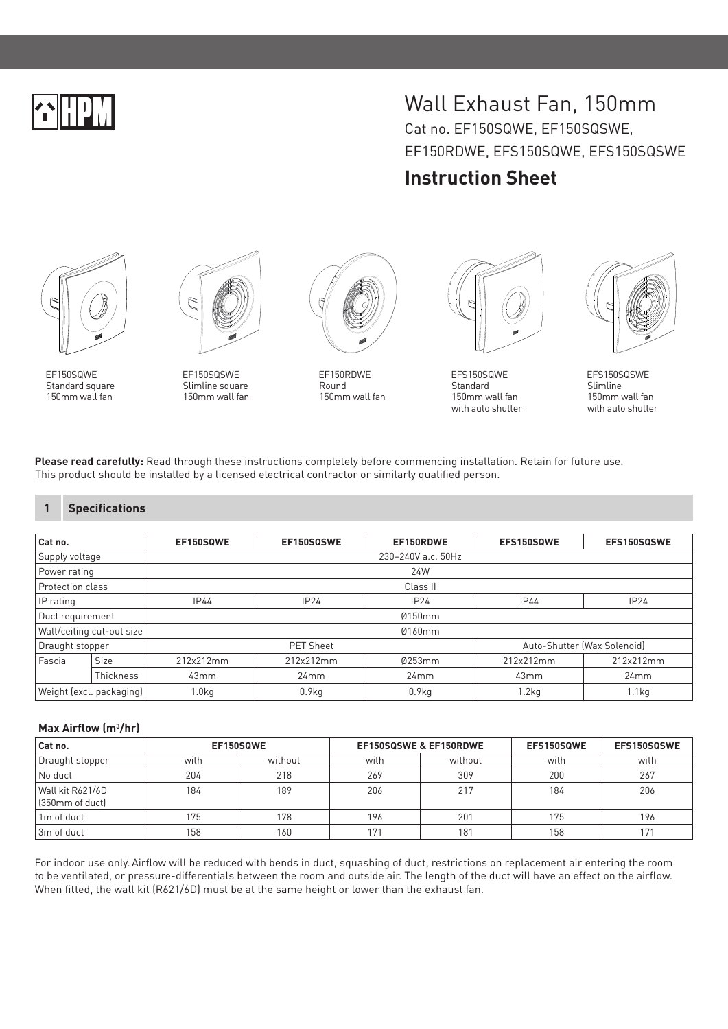# Wall Exhaust Fan, 150mm Cat no. EF150SQWE, EF150SQSWE, EF150RDWE, EFS150SQWE, EFS150SQSWE

## **Instruction Sheet**



EF150SQWE Standard square 150mm wall fan



EF150SQSWE Slimline square 150mm wall fan



EF150RDWE Round 150mm wall fan



EFS150SQWE Standard 150mm wall fan with auto shutter



EFS150SQSWE Slimline 150mm wall fan with auto shutter

**Please read carefully:** Read through these instructions completely before commencing installation. Retain for future use. This product should be installed by a licensed electrical contractor or similarly qualified person.

### **1 Specifications**

| Cat no.                   |             | EF150SQWE          | EF150SQSWE | EF150RDWE         | EFS150SQWE                  | EFS150SQSWE       |  |  |  |  |
|---------------------------|-------------|--------------------|------------|-------------------|-----------------------------|-------------------|--|--|--|--|
| Supply voltage            |             | 230-240V a.c. 50Hz |            |                   |                             |                   |  |  |  |  |
| Power rating              |             | 24W                |            |                   |                             |                   |  |  |  |  |
| Protection class          |             | Class II           |            |                   |                             |                   |  |  |  |  |
| IP rating                 |             | IP44               | IP24       | IP24              | IP44                        | IP24              |  |  |  |  |
| Duct requirement          |             | Ø150mm             |            |                   |                             |                   |  |  |  |  |
| Wall/ceiling cut-out size |             | Ø160mm             |            |                   |                             |                   |  |  |  |  |
| Draught stopper           |             | <b>PET Sheet</b>   |            |                   | Auto-Shutter (Wax Solenoid) |                   |  |  |  |  |
| Fascia                    | <b>Size</b> | 212x212mm          | 212x212mm  | Ø253mm            | 212x212mm                   | 212x212mm         |  |  |  |  |
|                           | Thickness   | 43mm               | 24mm       | 24mm              | 43mm                        | 24mm              |  |  |  |  |
| Weight (excl. packaging)  |             | 1.0 <sub>kq</sub>  | 0.9kg      | 0.9 <sub>kq</sub> | 1.2 <sub>kq</sub>           | 1.1 <sub>kq</sub> |  |  |  |  |

### **Max Airflow (m3 /hr)**

| Cat no.                             | EF150SQWE |         | EF150SQSWE & EF150RDWE |         | EFS150SQWE | EFS150SQSWE |
|-------------------------------------|-----------|---------|------------------------|---------|------------|-------------|
| Draught stopper                     | with      | without | with                   | without | with       | with        |
| No duct                             | 204       | 218     | 269                    | 309     | 200        | 267         |
| Wall kit R621/6D<br>(350mm of duct) | 184       | 189     | 206                    | 217     | 184        | 206         |
| 1 <sub>m</sub> of duct              | 175       | 178     | 196                    | 201     | 175        | 196         |
| l 3m of duct                        | 158       | 160     | 171                    | 181     | 158        | 171         |

For indoor use only.Airflow will be reduced with bends in duct, squashing of duct, restrictions on replacement air entering the room to be ventilated, or pressure-differentials between the room and outside air. The length of the duct will have an effect on the airflow. When fitted, the wall kit (R621/6D) must be at the same height or lower than the exhaust fan.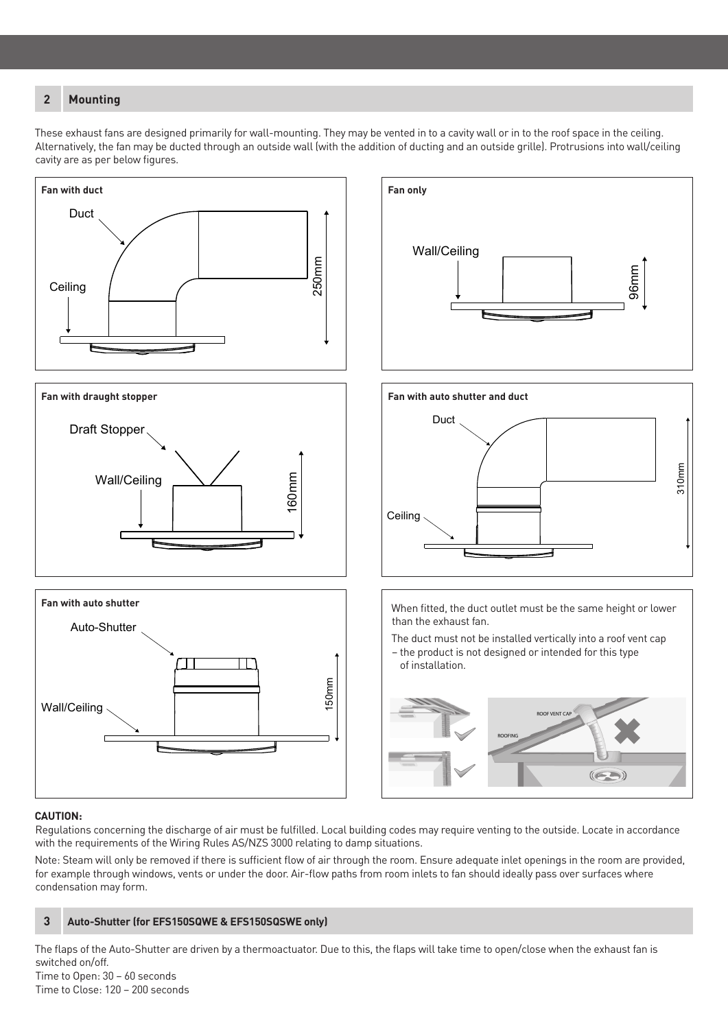### **2 Mounting**

These exhaust fans are designed primarily for wall-mounting. They may be vented in to a cavity wall or in to the roof space in the ceiling. Alternatively, the fan may be ducted through an outside wall (with the addition of ducting and an outside grille). Protrusions into wall/ceiling cavity are as per below figures.

250mm



### **CAUTION:**

Regulations concerning the discharge of air must be fulfilled. Local building codes may require venting to the outside. Locate in accordance with the requirements of the Wiring Rules AS/NZS 3000 relating to damp situations.

Note: Steam will only be removed if there is sufficient flow of air through the room. Ensure adequate inlet openings in the room are provided, for example through windows, vents or under the door. Air-flow paths from room inlets to fan should ideally pass over surfaces where condensation may form.



The flaps of the Auto-Shutter are driven by a thermoactuator. Due to this, the flaps will take time to open/close when the exhaust fan is switched on/off. Time to Open: 30 – 60 seconds

Time to Close: 120 – 200 seconds